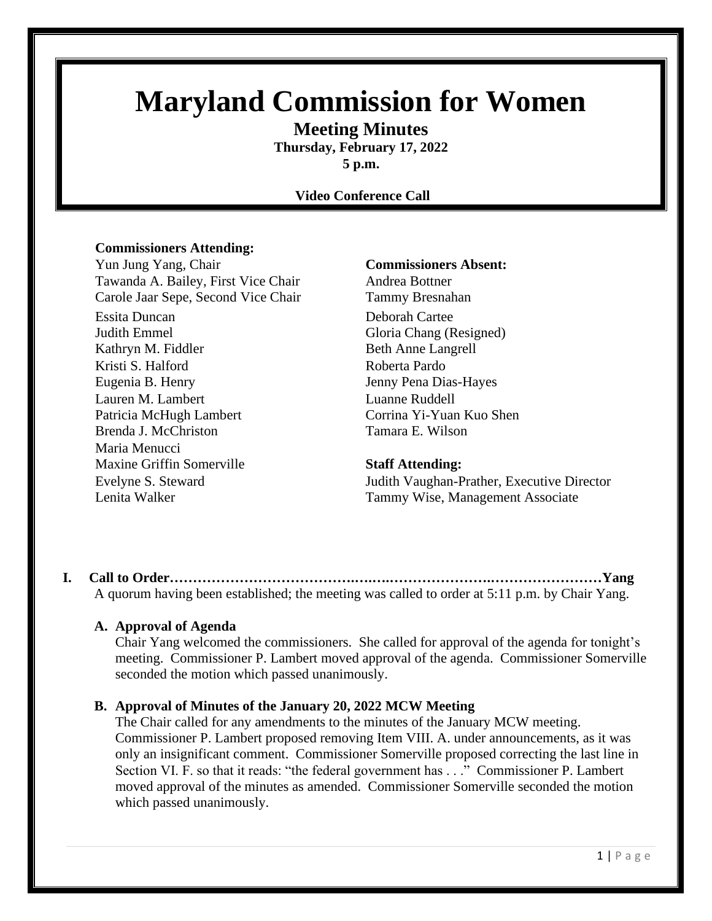# **Maryland Commission for Women**

**Meeting Minutes Thursday, February 17, 2022**

**5 p.m.**

#### **Video Conference Call**

#### **Commissioners Attending:**

Yun Jung Yang, Chair **Commissioners Absent:** Tawanda A. Bailey, First Vice Chair **Andrea Bottner** Carole Jaar Sepe, Second Vice Chair Tammy Bresnahan Essita Duncan Deborah Cartee Judith Emmel Gloria Chang (Resigned) Kathryn M. Fiddler Beth Anne Langrell Kristi S. Halford Roberta Pardo Eugenia B. Henry Jenny Pena Dias-Hayes Lauren M. Lambert Luanne Ruddell Patricia McHugh Lambert Corrina Yi-Yuan Kuo Shen Brenda J. McChriston Tamara E. Wilson Maria Menucci Maxine Griffin Somerville **Staff Attending:**

Evelyne S. Steward Judith Vaughan-Prather, Executive Director Lenita Walker Tammy Wise, Management Associate

**I. Call to Order………………………………….….….………………….……………………Yang** A quorum having been established; the meeting was called to order at 5:11 p.m. by Chair Yang.

#### **A. Approval of Agenda**

Chair Yang welcomed the commissioners. She called for approval of the agenda for tonight's meeting. Commissioner P. Lambert moved approval of the agenda. Commissioner Somerville seconded the motion which passed unanimously.

#### **B. Approval of Minutes of the January 20, 2022 MCW Meeting**

The Chair called for any amendments to the minutes of the January MCW meeting. Commissioner P. Lambert proposed removing Item VIII. A. under announcements, as it was only an insignificant comment. Commissioner Somerville proposed correcting the last line in Section VI. F. so that it reads: "the federal government has . . ." Commissioner P. Lambert moved approval of the minutes as amended. Commissioner Somerville seconded the motion which passed unanimously.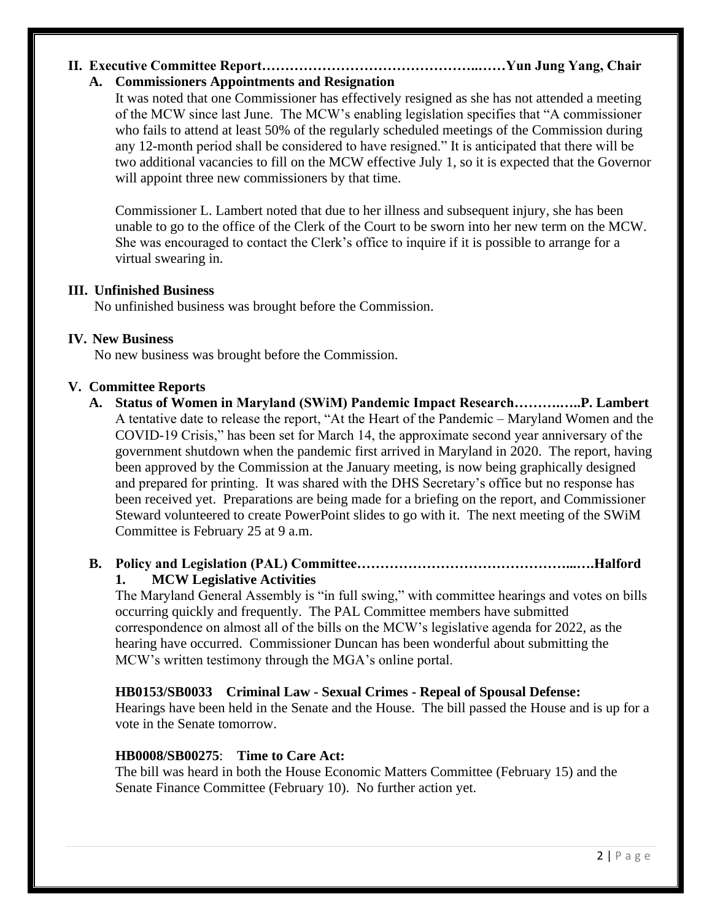### **II. Executive Committee Report………………………………………..……Yun Jung Yang, Chair**

#### **A. Commissioners Appointments and Resignation**

It was noted that one Commissioner has effectively resigned as she has not attended a meeting of the MCW since last June. The MCW's enabling legislation specifies that "A commissioner who fails to attend at least 50% of the regularly scheduled meetings of the Commission during any 12-month period shall be considered to have resigned." It is anticipated that there will be two additional vacancies to fill on the MCW effective July 1, so it is expected that the Governor will appoint three new commissioners by that time.

Commissioner L. Lambert noted that due to her illness and subsequent injury, she has been unable to go to the office of the Clerk of the Court to be sworn into her new term on the MCW. She was encouraged to contact the Clerk's office to inquire if it is possible to arrange for a virtual swearing in.

#### **III. Unfinished Business**

No unfinished business was brought before the Commission.

#### **IV. New Business**

No new business was brought before the Commission.

#### **V. Committee Reports**

**A. Status of Women in Maryland (SWiM) Pandemic Impact Research……….…..P. Lambert** A tentative date to release the report, "At the Heart of the Pandemic – Maryland Women and the COVID-19 Crisis," has been set for March 14, the approximate second year anniversary of the government shutdown when the pandemic first arrived in Maryland in 2020. The report, having been approved by the Commission at the January meeting, is now being graphically designed and prepared for printing. It was shared with the DHS Secretary's office but no response has been received yet. Preparations are being made for a briefing on the report, and Commissioner Steward volunteered to create PowerPoint slides to go with it. The next meeting of the SWiM Committee is February 25 at 9 a.m.

## **B. Policy and Legislation (PAL) Committee………………………………………...….Halford**

#### **1. MCW Legislative Activities**

The Maryland General Assembly is "in full swing," with committee hearings and votes on bills occurring quickly and frequently. The PAL Committee members have submitted correspondence on almost all of the bills on the MCW's legislative agenda for 2022, as the hearing have occurred. Commissioner Duncan has been wonderful about submitting the MCW's written testimony through the MGA's online portal.

#### **HB0153/SB0033 Criminal Law - Sexual Crimes - Repeal of Spousal Defense:**

Hearings have been held in the Senate and the House. The bill passed the House and is up for a vote in the Senate tomorrow.

#### **HB0008/SB00275**: **Time to Care Act:**

The bill was heard in both the House Economic Matters Committee (February 15) and the Senate Finance Committee (February 10). No further action yet.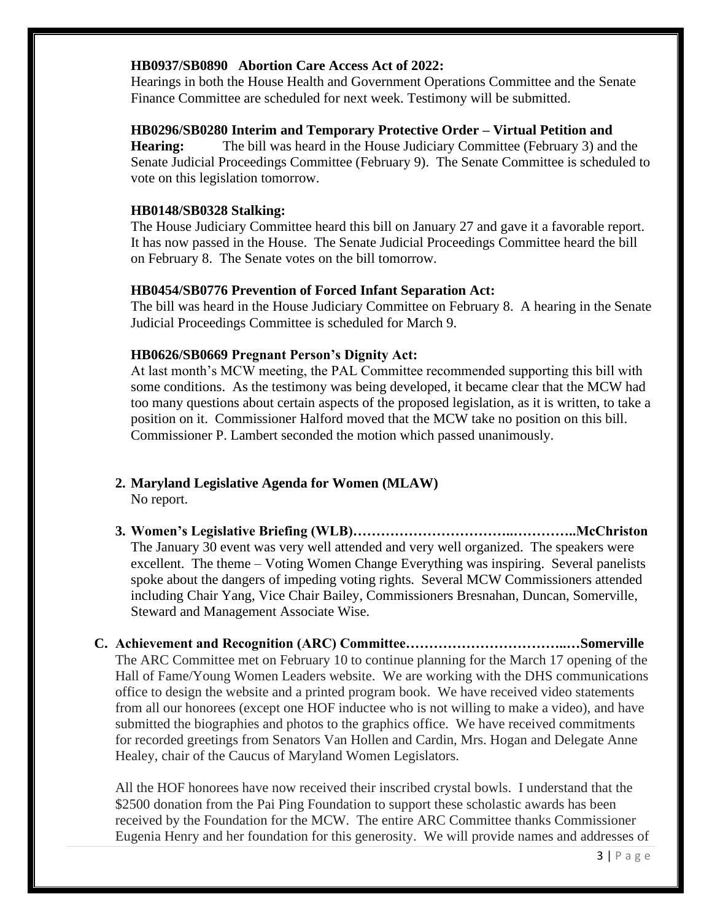#### **HB0937/SB0890 Abortion Care Access Act of 2022:**

Hearings in both the House Health and Government Operations Committee and the Senate Finance Committee are scheduled for next week. Testimony will be submitted.

#### **HB0296/SB0280 Interim and Temporary Protective Order – Virtual Petition and**

**Hearing:** The bill was heard in the House Judiciary Committee (February 3) and the Senate Judicial Proceedings Committee (February 9). The Senate Committee is scheduled to vote on this legislation tomorrow.

#### **HB0148/SB0328 Stalking:**

The House Judiciary Committee heard this bill on January 27 and gave it a favorable report. It has now passed in the House. The Senate Judicial Proceedings Committee heard the bill on February 8. The Senate votes on the bill tomorrow.

#### **HB0454/SB0776 Prevention of Forced Infant Separation Act:**

The bill was heard in the House Judiciary Committee on February 8. A hearing in the Senate Judicial Proceedings Committee is scheduled for March 9.

#### **HB0626/SB0669 Pregnant Person's Dignity Act:**

At last month's MCW meeting, the PAL Committee recommended supporting this bill with some conditions. As the testimony was being developed, it became clear that the MCW had too many questions about certain aspects of the proposed legislation, as it is written, to take a position on it. Commissioner Halford moved that the MCW take no position on this bill. Commissioner P. Lambert seconded the motion which passed unanimously.

#### **2. Maryland Legislative Agenda for Women (MLAW)** No report.

**3. Women's Legislative Briefing (WLB)……………………………..…………..McChriston** The January 30 event was very well attended and very well organized. The speakers were excellent. The theme – Voting Women Change Everything was inspiring. Several panelists spoke about the dangers of impeding voting rights. Several MCW Commissioners attended including Chair Yang, Vice Chair Bailey, Commissioners Bresnahan, Duncan, Somerville, Steward and Management Associate Wise.

**C. Achievement and Recognition (ARC) Committee……………………………..…Somerville** The ARC Committee met on February 10 to continue planning for the March 17 opening of the Hall of Fame/Young Women Leaders website. We are working with the DHS communications office to design the website and a printed program book. We have received video statements from all our honorees (except one HOF inductee who is not willing to make a video), and have submitted the biographies and photos to the graphics office. We have received commitments for recorded greetings from Senators Van Hollen and Cardin, Mrs. Hogan and Delegate Anne Healey, chair of the Caucus of Maryland Women Legislators.

All the HOF honorees have now received their inscribed crystal bowls. I understand that the \$2500 donation from the Pai Ping Foundation to support these scholastic awards has been received by the Foundation for the MCW. The entire ARC Committee thanks Commissioner Eugenia Henry and her foundation for this generosity. We will provide names and addresses of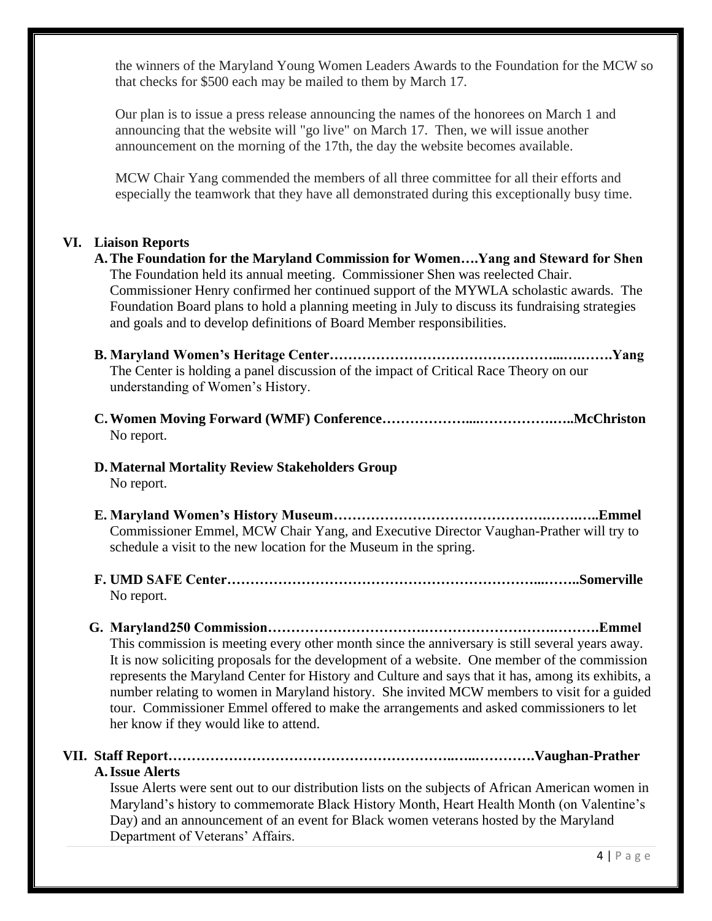the winners of the Maryland Young Women Leaders Awards to the Foundation for the MCW so that checks for \$500 each may be mailed to them by March 17.

Our plan is to issue a press release announcing the names of the honorees on March 1 and announcing that the website will "go live" on March 17. Then, we will issue another announcement on the morning of the 17th, the day the website becomes available.

MCW Chair Yang commended the members of all three committee for all their efforts and especially the teamwork that they have all demonstrated during this exceptionally busy time.

#### **VI. Liaison Reports**

- **A.The Foundation for the Maryland Commission for Women….Yang and Steward for Shen** The Foundation held its annual meeting. Commissioner Shen was reelected Chair. Commissioner Henry confirmed her continued support of the MYWLA scholastic awards. The Foundation Board plans to hold a planning meeting in July to discuss its fundraising strategies and goals and to develop definitions of Board Member responsibilities.
- **B. Maryland Women's Heritage Center…………………………………………...….…….Yang** The Center is holding a panel discussion of the impact of Critical Race Theory on our understanding of Women's History.
- **C.Women Moving Forward (WMF) Conference………………....…………….…..McChriston** No report.

#### **D.Maternal Mortality Review Stakeholders Group** No report.

- **E. Maryland Women's History Museum……………………………………….…….…..Emmel** Commissioner Emmel, MCW Chair Yang, and Executive Director Vaughan-Prather will try to schedule a visit to the new location for the Museum in the spring.
- **F. UMD SAFE Center…………………………………………………………...……..Somerville** No report.

### **G. Maryland250 Commission…………………………….……………………….……….Emmel** This commission is meeting every other month since the anniversary is still several years away. It is now soliciting proposals for the development of a website. One member of the commission represents the Maryland Center for History and Culture and says that it has, among its exhibits, a number relating to women in Maryland history. She invited MCW members to visit for a guided tour. Commissioner Emmel offered to make the arrangements and asked commissioners to let her know if they would like to attend.

# **VII. Staff Report……………………………………………………..…..………….Vaughan-Prather**

### **A.Issue Alerts**

Issue Alerts were sent out to our distribution lists on the subjects of African American women in Maryland's history to commemorate Black History Month, Heart Health Month (on Valentine's Day) and an announcement of an event for Black women veterans hosted by the Maryland Department of Veterans' Affairs.